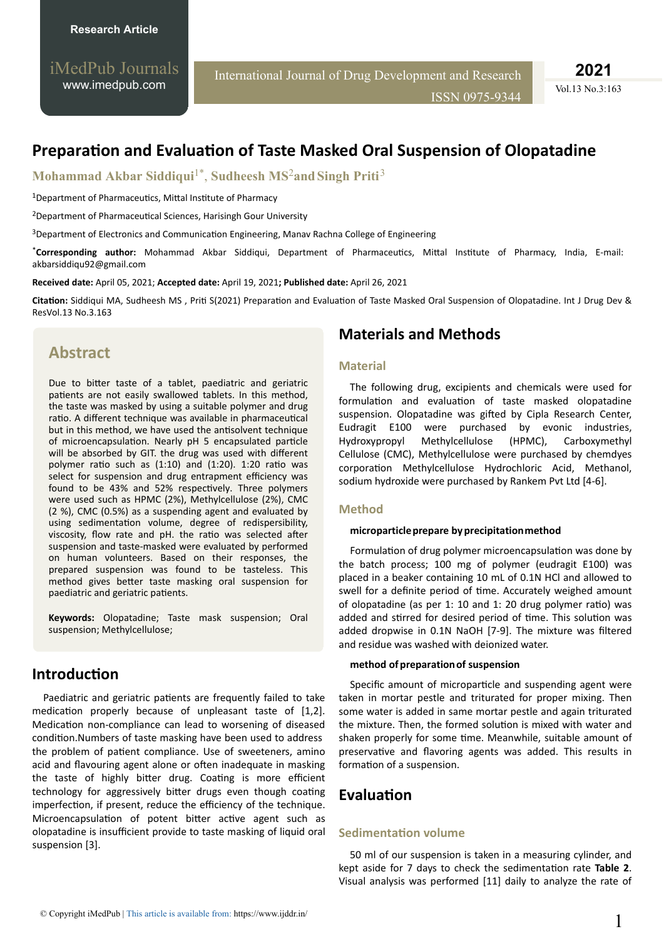iMedPub Journals [www.imedpub.com](http://www.imedpub.com/)

International Journal of Drug Development and Research

ISSN 0975-9344

**2021**

Vol.13 No.3:163

# **Preparation and Evaluation of Taste Masked Oral Suspension of Olopatadine**

**Mohammad Akbar Siddiqui**1\* , **Sudheesh MS**2**and Singh Priti**<sup>3</sup>

<sup>1</sup>Department of Pharmaceutics, Mittal Institute of Pharmacy

<sup>2</sup>Department of Pharmaceutical Sciences, Harisingh Gour University

<sup>3</sup>Department of Electronics and Communication Engineering, Manav Rachna College of Engineering

\*Corresponding author: Mohammad Akbar Siddiqui, Department of Pharmaceutics, Mittal Institute of Pharmacy, India, E-mail: [akbarsiddiqu92@gmail.com](mailto:akbarsiddiqu92@gmail.com)

**Received date:** April 05, 2021; **Accepted date:** April 19, 2021**; Published date:** April 26, 2021

**Citation:** Siddiqui MA, Sudheesh MS, Priti S(2021) Preparation and Evaluation of Taste Masked Oral Suspension of Olopatadine. Int J Drug Dev & ResVol.13 No.3.163

# **Abstract**

Due to bitter taste of a tablet, paediatric and geriatric patients are not easily swallowed tablets. In this method, the taste was masked by using a suitable polymer and drug ratio. A different technique was available in pharmaceutical but in this method, we have used the antisolvent technique of microencapsulation. Nearly pH 5 encapsulated particle will be absorbed by GIT. the drug was used with different polymer ratio such as  $(1:10)$  and  $(1:20)$ . 1:20 ratio was select for suspension and drug entrapment efficiency was found to be 43% and 52% respectively. Three polymers were used such as HPMC (2%), Methylcellulose (2%), CMC (2 %), CMC (0.5%) as a suspending agent and evaluated by using sedimentation volume, degree of redispersibility, viscosity, flow rate and pH. the ratio was selected after suspension and taste-masked were evaluated by performed on human volunteers. Based on their responses, the prepared suspension was found to be tasteless. This method gives better taste masking oral suspension for paediatric and geriatric patients.

**Keywords:** Olopatadine; Taste mask suspension; Oral suspension; Methylcellulose;

## **Introduction**

Paediatric and geriatric patients are frequently failed to take medication properly because of unpleasant taste of  $[1,2]$ . Medication non-compliance can lead to worsening of diseased condition. Numbers of taste masking have been used to address the problem of patient compliance. Use of sweeteners, amino acid and flavouring agent alone or often inadequate in masking the taste of highly bitter drug. Coating is more efficient technology for aggressively bitter drugs even though coating imperfection, if present, reduce the efficiency of the technique. Microencapsulation of potent bitter active agent such as olopatadine is insufficient provide to taste masking of liquid oral suspension [3].

## **Materials and Methods**

### **Material**

The following drug, excipients and chemicals were used for formulation and evaluation of taste masked olopatadine suspension. Olopatadine was gifted by Cipla Research Center, Eudragit E100 were purchased by evonic industries, Hydroxypropyl Methylcellulose (HPMC), Carboxymethyl Cellulose (CMC), Methylcellulose were purchased by chemdyes corporation Methylcellulose Hydrochloric Acid, Methanol, sodium hydroxide were purchased by Rankem Pvt Ltd [4-6].

### **Method**

#### **microparticle prepare by precipitation method**

Formulation of drug polymer microencapsulation was done by the batch process; 100 mg of polymer (eudragit E100) was placed in a beaker containing 10 mL of 0.1N HCl and allowed to swell for a definite period of time. Accurately weighed amount of olopatadine (as per 1: 10 and 1: 20 drug polymer ratio) was added and stirred for desired period of time. This solution was added dropwise in 0.1N NaOH [7-9]. The mixture was filtered and residue was washed with deionized water.

### **method of preparation of suspension**

Specific amount of microparticle and suspending agent were taken in mortar pestle and triturated for proper mixing. Then some water is added in same mortar pestle and again triturated the mixture. Then, the formed solution is mixed with water and shaken properly for some time. Meanwhile, suitable amount of preservative and flavoring agents was added. This results in formation of a suspension.

## **Evaluation**

### **Sedimentation volume**

50 ml of our suspension is taken in a measuring cylinder, and kept aside for 7 days to check the sedimentation rate Table 2. Visual analysis was performed [11] daily to analyze the rate of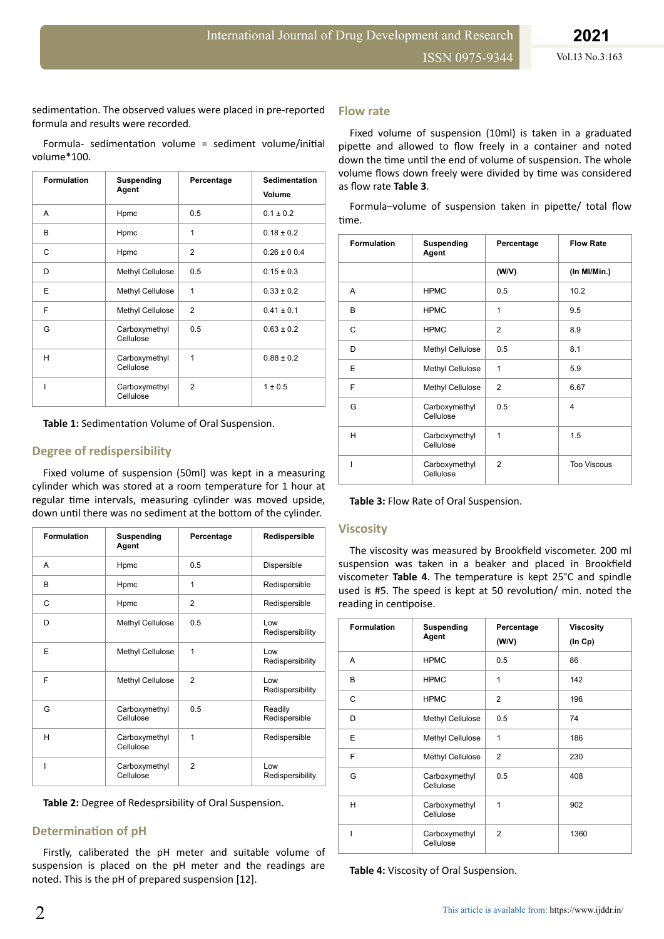sedimentation. The observed values were placed in pre-reported formula and results were recorded.

Formula- sedimentation volume = sediment volume/initial volume\*100.

| <b>Formulation</b> | Suspending<br>Agent        | Percentage     | <b>Sedimentation</b><br>Volume |
|--------------------|----------------------------|----------------|--------------------------------|
| A                  | Hpmc                       | 0.5            | $0.1 \pm 0.2$                  |
| B                  | Hpmc                       | 1              | $0.18 \pm 0.2$                 |
| C                  | Hpmc                       | $\overline{2}$ | $0.26 \pm 0.04$                |
| D                  | Methyl Cellulose           | 0.5            | $0.15 \pm 0.3$                 |
| E                  | Methyl Cellulose           | $\mathbf{1}$   | $0.33 \pm 0.2$                 |
| F                  | Methyl Cellulose           | $\overline{2}$ | $0.41 \pm 0.1$                 |
| G                  | Carboxymethyl<br>Cellulose | 0.5            | $0.63 \pm 0.2$                 |
| н                  | Carboxymethyl<br>Cellulose | 1              | $0.88 \pm 0.2$                 |
|                    | Carboxymethyl<br>Cellulose | $\mathfrak{p}$ | $1 \pm 0.5$                    |

Table 1: Sedimentation Volume of Oral Suspension.

### **Degree of redispersibility**

Fixed volume of suspension (50ml) was kept in a measuring cylinder which was stored at a room temperature for 1 hour at regular time intervals, measuring cylinder was moved upside, down until there was no sediment at the bottom of the cylinder.

| <b>Formulation</b> | Suspending<br>Agent        | Percentage     | Redispersible              |  |
|--------------------|----------------------------|----------------|----------------------------|--|
| A                  | Hpmc                       | 0.5            | Dispersible                |  |
| B                  | Hpmc                       | $\overline{1}$ | Redispersible              |  |
| C                  | Hpmc                       | $\overline{2}$ | Redispersible              |  |
| D                  | Methyl Cellulose           | 0.5            | Low<br>Redispersibility    |  |
| F                  | Methyl Cellulose           | 1              | $\log$<br>Redispersibility |  |
| F                  | Methyl Cellulose           | $\mathfrak{p}$ | I ow<br>Redispersibility   |  |
| G                  | Carboxymethyl<br>Cellulose | 0.5            | Readily<br>Redispersible   |  |
| н                  | Carboxymethyl<br>Cellulose | 1              | Redispersible              |  |
| ı                  | Carboxymethyl<br>Cellulose | $\overline{2}$ | Low<br>Redispersibility    |  |

**Table 2:** Degree of Redesprsibility of Oral Suspension.

### **Determination of pH**

Firstly, caliberated the pH meter and suitable volume of suspension is placed on the pH meter and the readings are noted. This is the pH of prepared suspension [12].

#### **Flow rate**

Fixed volume of suspension (10ml) is taken in a graduated pipette and allowed to flow freely in a container and noted down the time until the end of volume of suspension. The whole volume flows down freely were divided by time was considered as flow rate **Table 3**.

| Formula-volume of suspension taken in pipette/ total flow |  |  |  |  |
|-----------------------------------------------------------|--|--|--|--|
| time.                                                     |  |  |  |  |

| <b>Formulation</b> | <b>Suspending</b><br>Agent | Percentage     | <b>Flow Rate</b>        |
|--------------------|----------------------------|----------------|-------------------------|
|                    |                            | (W/V)          | (In MI/Min.)            |
| A                  | <b>HPMC</b>                | 0.5            | 10.2                    |
| B                  | <b>HPMC</b>                | 1              | 9.5                     |
| C                  | <b>HPMC</b>                | $\overline{2}$ | 8.9                     |
| D                  | Methyl Cellulose           | 0.5            | 8.1                     |
| E                  | Methyl Cellulose           | 1              | 5.9                     |
| F                  | Methyl Cellulose           | $\overline{2}$ | 6.67                    |
| G                  | Carboxymethyl<br>Cellulose | 0.5            | $\overline{\mathbf{4}}$ |
| н                  | Carboxymethyl<br>Cellulose | $\mathbf{1}$   | 1.5                     |
| T                  | Carboxymethyl<br>Cellulose | $\mathfrak{p}$ | <b>Too Viscous</b>      |

| Table 3: Flow Rate of Oral Suspension. |  |
|----------------------------------------|--|
|----------------------------------------|--|

#### **Viscosity**

The viscosity was measured by Brookfield viscometer. 200 ml suspension was taken in a beaker and placed in Brookfield viscometer **Table 4**. The temperature is kept 25°C and spindle used is #5. The speed is kept at 50 revolution/ min. noted the reading in centipoise.

| <b>Formulation</b> | <b>Suspending</b><br>Agent | Percentage<br>(W/V) | <b>Viscosity</b><br>$($ In Cp $)$ |  |
|--------------------|----------------------------|---------------------|-----------------------------------|--|
| A                  | <b>HPMC</b>                | 0.5                 | 86                                |  |
| B                  | <b>HPMC</b>                | 1                   | 142                               |  |
| C                  | <b>HPMC</b>                | $\overline{2}$      | 196                               |  |
| D                  | Methyl Cellulose           | 0.5                 | 74                                |  |
| E                  | Methyl Cellulose           | $\mathbf{1}$        | 186                               |  |
| F                  | Methyl Cellulose           | $\overline{2}$      | 230                               |  |
| G                  | Carboxymethyl<br>Cellulose | 0.5                 | 408                               |  |
| H                  | Carboxymethyl<br>Cellulose | 1                   | 902                               |  |
|                    | Carboxymethyl<br>Cellulose | $\mathfrak{p}$      | 1360                              |  |

**Table 4:** Viscosity of Oral Suspension.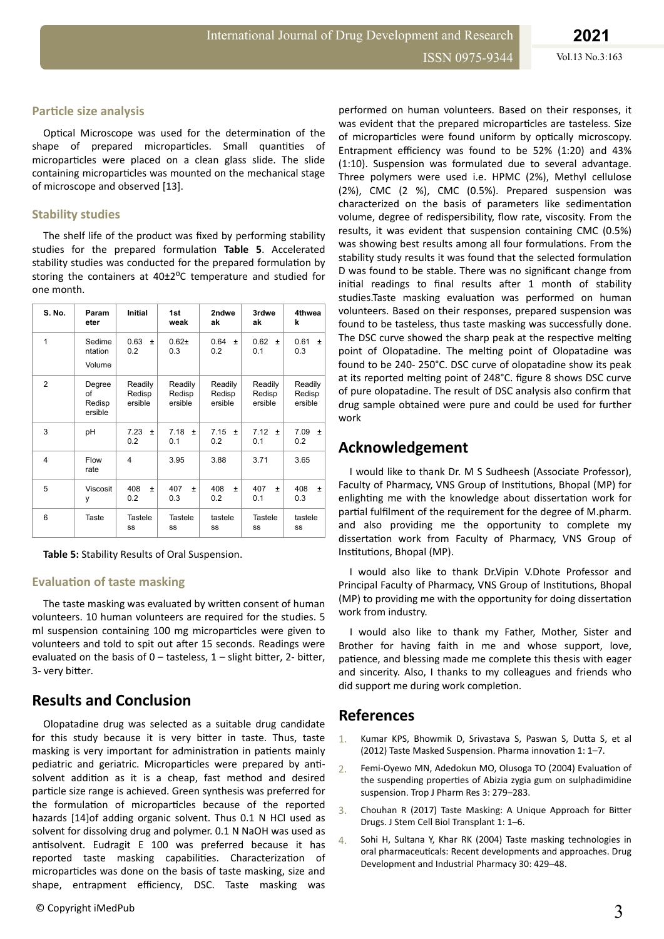## **Particle size analysis**

Optical Microscope was used for the determination of the shape of prepared microparticles. Small quantities of microparticles were placed on a clean glass slide. The slide containing microparticles was mounted on the mechanical stage of microscope and observed [13].

## **Stability studies**

The shelf life of the product was fixed by performing stability studies for the prepared formulation Table 5. Accelerated stability studies was conducted for the prepared formulation by storing the containers at 40±2°C temperature and studied for one month.

| <b>S. No.</b>  | Param<br>eter                     | <b>Initial</b>               | 1st<br>weak                  | 2ndwe<br>ak                  | 3rdwe<br>ak                  | 4thwea<br>k                  |
|----------------|-----------------------------------|------------------------------|------------------------------|------------------------------|------------------------------|------------------------------|
| 1              | Sedime<br>ntation<br>Volume       | 0.63<br>$\pm$<br>0.2         | $0.62 +$<br>0.3              | 0.64<br>$\ddot{}$<br>0.2     | 0.62<br>$\pm$<br>0.1         | 0.61<br>$\ddot{}$<br>0.3     |
| $\overline{2}$ | Degree<br>of<br>Redisp<br>ersible | Readily<br>Redisp<br>ersible | Readily<br>Redisp<br>ersible | Readily<br>Redisp<br>ersible | Readily<br>Redisp<br>ersible | Readily<br>Redisp<br>ersible |
| 3              | pH                                | 7.23<br>$\pm$<br>0.2         | 7.18<br>$\pm$<br>0.1         | 7.15<br>$\pm$<br>0.2         | 7.12<br>$\pm$<br>0.1         | 7.09<br>$\pm$<br>0.2         |
| 4              | Flow<br>rate                      | $\overline{\mathbf{4}}$      | 3.95                         | 3.88                         | 3.71                         | 3.65                         |
| 5              | Viscosit<br>у                     | 408<br>Ŧ<br>0.2              | 407<br>$\ddot{}$<br>0.3      | 408<br>$\pm$<br>0.2          | 407<br>$\ddot{}$<br>0.1      | 408<br>$\pm$<br>0.3          |
| 6              | Taste                             | Tastele<br>SS                | <b>Tastele</b><br>SS         | tastele<br>SS                | Tastele<br>SS                | tastele<br>SS                |

**Table 5:** Stability Results of Oral Suspension.

## **Evaluation of taste masking**

The taste masking was evaluated by written consent of human volunteers. 10 human volunteers are required for the studies. 5 ml suspension containing 100 mg microparticles were given to volunteers and told to spit out after 15 seconds. Readings were evaluated on the basis of  $0 -$  tasteless,  $1 -$  slight bitter, 2- bitter, 3- very bitter.

## **Results and Conclusion**

Olopatadine drug was selected as a suitable drug candidate for this study because it is very bitter in taste. Thus, taste masking is very important for administration in patients mainly pediatric and geriatric. Microparticles were prepared by antisolvent addition as it is a cheap, fast method and desired particle size range is achieved. Green synthesis was preferred for the formulation of microparticles because of the reported hazards [14]of adding organic solvent. Thus 0.1 N HCl used as solvent for dissolving drug and polymer. 0.1 N NaOH was used as antisolvent. Eudragit E 100 was preferred because it has reported taste masking capabilities. Characterization of microparticles was done on the basis of taste masking, size and shape, entrapment efficiency, DSC. Taste masking was

performed on human volunteers. Based on their responses, it was evident that the prepared microparticles are tasteless. Size of microparticles were found uniform by optically microscopy. Entrapment efficiency was found to be 52% (1:20) and 43% (1:10). Suspension was formulated due to several advantage. Three polymers were used i.e. HPMC (2%), Methyl cellulose (2%), CMC (2 %), CMC (0.5%). Prepared suspension was characterized on the basis of parameters like sedimentation volume, degree of redispersibility, flow rate, viscosity. From the results, it was evident that suspension containing CMC (0.5%) was showing best results among all four formulations. From the stability study results it was found that the selected formulation D was found to be stable. There was no significant change from initial readings to final results after 1 month of stability studies.Taste masking evaluation was performed on human volunteers. Based on their responses, prepared suspension was found to be tasteless, thus taste masking was successfully done. The DSC curve showed the sharp peak at the respective melting point of Olopatadine. The melting point of Olopatadine was found to be 240- 250°C. DSC curve of olopatadine show its peak at its reported melting point of 248°C. figure 8 shows DSC curve of pure olopatadine. The result of DSC analysis also confirm that drug sample obtained were pure and could be used for further work

# **Acknowledgement**

I would like to thank Dr. M S Sudheesh (Associate Professor), Faculty of Pharmacy, VNS Group of Institutions, Bhopal (MP) for enlighting me with the knowledge about dissertation work for partial fulfilment of the requirement for the degree of M.pharm. and also providing me the opportunity to complete my dissertation work from Faculty of Pharmacy, VNS Group of Institutions, Bhopal (MP).

I would also like to thank Dr.Vipin V.Dhote Professor and Principal Faculty of Pharmacy, VNS Group of Institutions, Bhopal (MP) to providing me with the opportunity for doing dissertation work from industry.

I would also like to thank my Father, Mother, Sister and Brother for having faith in me and whose support, love, patience, and blessing made me complete this thesis with eager and sincerity. Also, I thanks to my colleagues and friends who did support me during work completion.

## **References**

- 1. [Kumar KPS, Bhowmik D, Srivastava S, Paswan S,](https://www.thepharmajournal.com/archives/2012/vol1issue2/PartA/1.pdf) Dutta S, et al [\(2012\) Taste Masked Suspension. Pharma](https://www.thepharmajournal.com/archives/2012/vol1issue2/PartA/1.pdf) innovation 1:  $1-7$ .
- 2. [Femi-Oyewo MN, Adedokun MO, Olusoga TO \(2004\)](file:///D:/Projects/r-suite/DITA/Word_Files/omicsimedpubpdf/10.4314/tjpr.v3i1.14610) Evaluation of the suspending properties [of Abizia zygia gum on sulphadimidine](file:///D:/Projects/r-suite/DITA/Word_Files/omicsimedpubpdf/10.4314/tjpr.v3i1.14610) [suspension. Trop J Pharm Res 3: 279–283.](file:///D:/Projects/r-suite/DITA/Word_Files/omicsimedpubpdf/10.4314/tjpr.v3i1.14610)
- 3. [Chouhan R \(2017\) Taste Masking: A Unique Approach for](file:///D:/Projects/r-suite/DITA/Word_Files/omicsimedpubpdf/10.21767/2575-7725.100012) Bitter [Drugs. J Stem Cell Biol Transplant 1: 1–6.](file:///D:/Projects/r-suite/DITA/Word_Files/omicsimedpubpdf/10.21767/2575-7725.100012)
- 4. Sohi H, Sultana Y, Khar RK (2004) Taste masking technologies in oral pharmaceuticals: Recent developments and approaches. Drug Development and Industrial Pharmacy 30: 429–48.